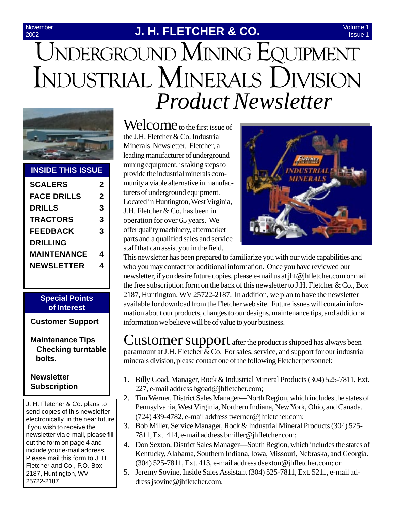#### 2002

#### **November J. H. FLETCHER & CO.**

# UNDERGROUND MINING EQUIPMENT INDUSTRIAL MINERALS DIVISION *Product Newsletter*



#### **INSIDE THIS ISSUE**

| <b>SCALERS</b>     | 2 |
|--------------------|---|
| <b>FACE DRILLS</b> | 2 |
| <b>DRILLS</b>      | 3 |
| <b>TRACTORS</b>    | 3 |
| <b>FEEDBACK</b>    | 3 |
| DRILLING           |   |
| MAINTENANCE        | 4 |
| <b>NEWSLETTER</b>  | 4 |
|                    |   |

#### **Special Points of Interest**

**Customer Support**

**Maintenance Tips Checking turntable bolts.**

#### **Newsletter Subscription**

J. H. Fletcher & Co. plans to send copies of this newsletter electronically in the near future. If you wish to receive the newsletter via e-mail, please fill out the form on page 4 and include your e-mail address. Please mail this form to J. H. Fletcher and Co., P.O. Box 2187, Huntington, WV 25722-2187

Welcome to the first issue of the J.H. Fletcher & Co. Industrial Minerals Newsletter. Fletcher, a leading manufacturer of underground mining equipment, is taking steps to provide the industrial minerals community a viable alternative in manufacturers of underground equipment. Located in Huntington, West Virginia, J.H. Fletcher & Co. has been in operation for over 65 years. We offer quality machinery, aftermarket parts and a qualified sales and service staff that can assist you in the field.



This newsletter has been prepared to familiarize you with our wide capabilities and who you may contact for additional information. Once you have reviewed our newsletter, if you desire future copies, please e-mail us at jhf@jhfletcher.com or mail the free subscription form on the back of this newsletter to J.H. Fletcher  $\& Co.,\n Box$ 2187, Huntington, WV 25722-2187. In addition, we plan to have the newsletter available for download from the Fletcher web site. Future issues will contain information about our products, changes to our designs, maintenance tips, and additional information we believe will be of value to your business.

Customer support after the product is shipped has always been paramount at J.H. Fletcher  $\&$  Co. For sales, service, and support for our industrial minerals division, please contact one of the following Fletcher personnel:

- 1. Billy Goad, Manager, Rock & Industrial Mineral Products (304) 525-7811, Ext. 227, e-mail address bgoad@jhfletcher.com;
- 2. Tim Werner, District Sales Manager—North Region, which includes the states of Pennsylvania, West Virginia, Northern Indiana, New York, Ohio, and Canada. (724) 439-4782, e-mail address twerner@jhfletcher.com;
- 3. Bob Miller, Service Manager, Rock & Industrial Mineral Products (304) 525- 7811, Ext. 414, e-mail address bmiller@jhfletcher.com;
- 4. Don Sexton, District Sales Manager—South Region, which includes the states of Kentucky, Alabama, Southern Indiana, Iowa, Missouri, Nebraska, and Georgia. (304) 525-7811, Ext. 413, e-mail address dsexton@jhfletcher.com; or
- 5. Jeremy Sovine, Inside Sales Assistant (304) 525-7811, Ext. 5211, e-mail address jsovine@jhfletcher.com.

Volume 1 Issue 1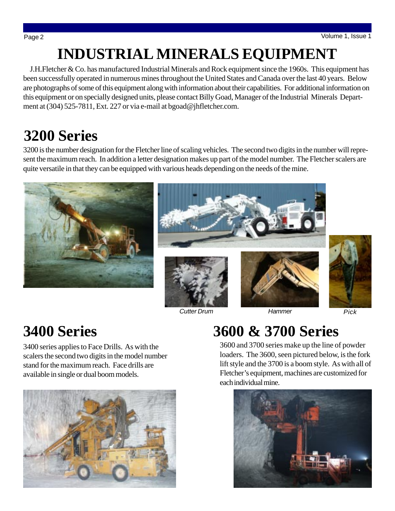# **INDUSTRIAL MINERALS EQUIPMENT**

 J.H.Fletcher & Co. has manufactured Industrial Minerals and Rock equipment since the 1960s. This equipment has been successfully operated in numerous mines throughout the United States and Canada over the last 40 years. Below are photographs of some of this equipment along with information about their capabilities. For additional information on this equipment or on specially designed units, please contact Billy Goad, Manager of the Industrial Minerals Department at (304) 525-7811, Ext. 227 or via e-mail at bgoad@jhfletcher.com.

## **3200 Series**

3200 is the number designation for the Fletcher line of scaling vehicles. The second two digits in the number will represent the maximum reach. In addition a letter designation makes up part of the model number. The Fletcher scalers are quite versatile in that they can be equipped with various heads depending on the needs of the mine.



*Cutter Drum*

*Hammer Pick*

# **3400 Series**

3400 series applies to Face Drills. As with the scalers the second two digits in the model number stand for the maximum reach. Face drills are available in single or dual boom models.



# **3600 & 3700 Series**

3600 and 3700 series make up the line of powder loaders. The 3600, seen pictured below, is the fork lift style and the 3700 is a boom style. As with all of Fletcher's equipment, machines are customized for each individual mine.

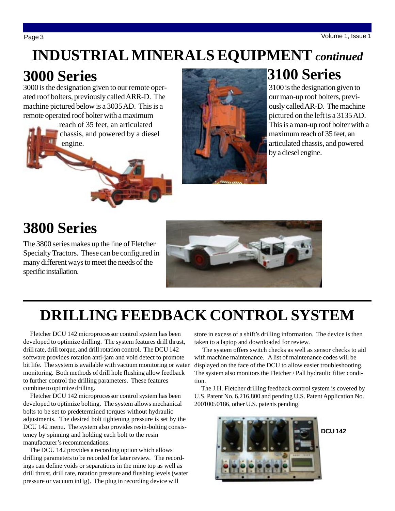# **INDUSTRIAL MINERALS EQUIPMENT** *continued*

#### **3000 Series**

3000 is the designation given to our remote operated roof bolters, previously called ARR-D. The machine pictured below is a 3035 AD. This is a remote operated roof bolter with a maximum

 reach of 35 feet, an articulated chassis, and powered by a diesel engine.



## **3100 Series**

3100 is the designation given to our man-up roof bolters, previously called AR-D. The machine pictured on the left is a 3135 AD. This is a man-up roof bolter with a maximum reach of 35 feet, an articulated chassis, and powered by a diesel engine.

## **3800 Series**

The 3800 series makes up the line of Fletcher Specialty Tractors. These can be configured in many different ways to meet the needs of the specific installation.



# **DRILLING FEEDBACK CONTROL SYSTEM**

 Fletcher DCU 142 microprocessor control system has been developed to optimize drilling. The system features drill thrust, drill rate, drill torque, and drill rotation control. The DCU 142 software provides rotation anti-jam and void detect to promote bit life. The system is available with vacuum monitoring or water monitoring. Both methods of drill hole flushing allow feedback to further control the drilling parameters. These features combine to optimize drilling.

 Fletcher DCU 142 microprocessor control system has been developed to optimize bolting. The system allows mechanical bolts to be set to predetermined torques without hydraulic adjustments. The desired bolt tightening pressure is set by the DCU 142 menu. The system also provides resin-bolting consistency by spinning and holding each bolt to the resin manufacturer's recommendations.

 The DCU 142 provides a recording option which allows drilling parameters to be recorded for later review. The recordings can define voids or separations in the mine top as well as drill thrust, drill rate, rotation pressure and flushing levels (water pressure or vacuum inHg). The plug in recording device will

store in excess of a shift's drilling information. The device is then taken to a laptop and downloaded for review.

 The system offers switch checks as well as sensor checks to aid with machine maintenance. A list of maintenance codes will be displayed on the face of the DCU to allow easier troubleshooting. The system also monitors the Fletcher / Pall hydraulic filter condition.

 The J.H. Fletcher drilling feedback control system is covered by U.S. Patent No. 6,216,800 and pending U.S. Patent Application No. 20010050186, other U.S. patents pending.



**DCU 142**